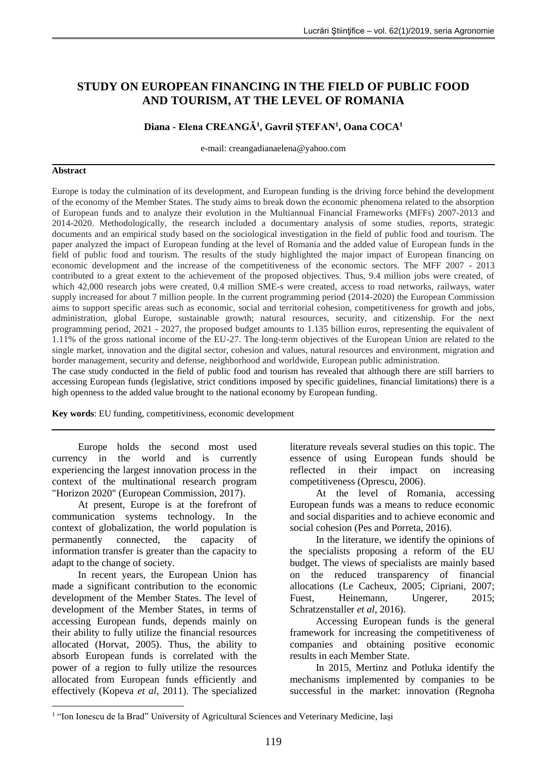# **STUDY ON EUROPEAN FINANCING IN THE FIELD OF PUBLIC FOOD AND TOURISM, AT THE LEVEL OF ROMANIA**

## **Diana - Elena CREANGĂ<sup>1</sup> , Gavril ŞTEFAN<sup>1</sup> , Oana COCA<sup>1</sup>**

e-mail: creangadianaelena@yahoo.com

#### **Abstract**

Europe is today the culmination of its development, and European funding is the driving force behind the development of the economy of the Member States. The study aims to break down the economic phenomena related to the absorption of European funds and to analyze their evolution in the Multiannual Financial Frameworks (MFFs) 2007-2013 and 2014-2020. Methodologically, the research included a documentary analysis of some studies, reports, strategic documents and an empirical study based on the sociological investigation in the field of public food and tourism. The paper analyzed the impact of European funding at the level of Romania and the added value of European funds in the field of public food and tourism. The results of the study highlighted the major impact of European financing on economic development and the increase of the competitiveness of the economic sectors. The MFF 2007 - 2013 contributed to a great extent to the achievement of the proposed objectives. Thus, 9.4 million jobs were created, of which 42,000 research jobs were created, 0.4 million SME-s were created, access to road networks, railways, water supply increased for about 7 million people. In the current programming period (2014-2020) the European Commission aims to support specific areas such as economic, social and territorial cohesion, competitiveness for growth and jobs, administration, global Europe, sustainable growth; natural resources, security, and citizenship. For the next programming period, 2021 - 2027, the proposed budget amounts to 1.135 billion euros, representing the equivalent of 1.11% of the gross national income of the EU-27. The long-term objectives of the European Union are related to the single market, innovation and the digital sector, cohesion and values, natural resources and environment, migration and border management, security and defense, neighborhood and worldwide, European public administration.

The case study conducted in the field of public food and tourism has revealed that although there are still barriers to accessing European funds (legislative, strict conditions imposed by specific guidelines, financial limitations) there is a high openness to the added value brought to the national economy by European funding.

**Key words**: EU funding, competitiviness, economic development

Europe holds the second most used currency in the world and is currently experiencing the largest innovation process in the context of the multinational research program "Horizon 2020" (European Commission, 2017).

At present, Europe is at the forefront of communication systems technology. In the context of globalization, the world population is permanently connected, the capacity of information transfer is greater than the capacity to adapt to the change of society.

In recent years, the European Union has made a significant contribution to the economic development of the Member States. The level of development of the Member States, in terms of accessing European funds, depends mainly on their ability to fully utilize the financial resources allocated (Horvat, 2005). Thus, the ability to absorb European funds is correlated with the power of a region to fully utilize the resources allocated from European funds efficiently and effectively (Kopeva *et al*, 2011). The specialized

1

literature reveals several studies on this topic. The essence of using European funds should be reflected in their impact on increasing competitiveness (Oprescu, 2006).

At the level of Romania, accessing European funds was a means to reduce economic and social disparities and to achieve economic and social cohesion (Pes and Porreta, 2016).

In the literature, we identify the opinions of the specialists proposing a reform of the EU budget. The views of specialists are mainly based on the reduced transparency of financial allocations (Le Cacheux, 2005; Cipriani, 2007; Fuest, Heinemann, Ungerer, 2015; Schratzenstaller *et al*, 2016).

Accessing European funds is the general framework for increasing the competitiveness of companies and obtaining positive economic results in each Member State.

In 2015, Mertinz and Potluka identify the mechanisms implemented by companies to be successful in the market: innovation (Regnoha

<sup>&</sup>lt;sup>1</sup> "Ion Ionescu de la Brad" University of Agricultural Sciences and Veterinary Medicine, Iași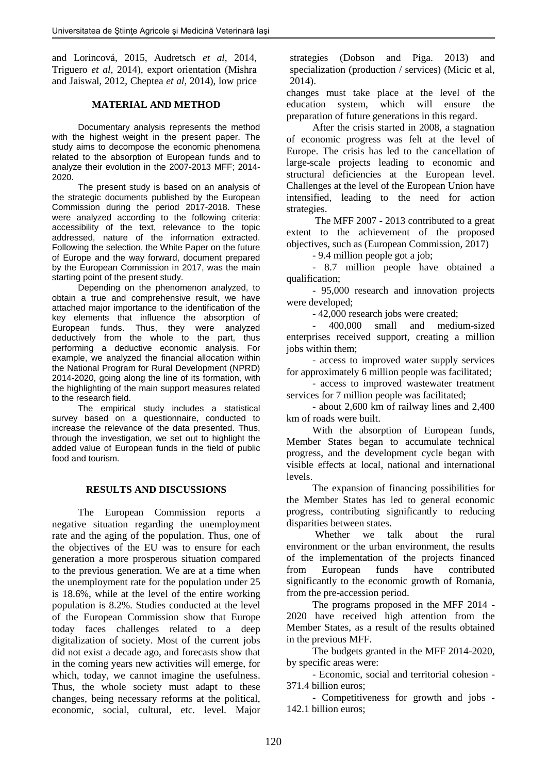and Lorincová, 2015, Audretsch *et al*, 2014, Triguero *et al*, 2014), export orientation (Mishra and Jaiswal, 2012, Cheptea *et al*, 2014), low price

#### **MATERIAL AND METHOD**

Documentary analysis represents the method with the highest weight in the present paper. The study aims to decompose the economic phenomena related to the absorption of European funds and to analyze their evolution in the 2007-2013 MFF; 2014- 2020.

The present study is based on an analysis of the strategic documents published by the European Commission during the period 2017-2018. These were analyzed according to the following criteria: accessibility of the text, relevance to the topic addressed, nature of the information extracted. Following the selection, the White Paper on the future of Europe and the way forward, document prepared by the European Commission in 2017, was the main starting point of the present study.

Depending on the phenomenon analyzed, to obtain a true and comprehensive result, we have attached major importance to the identification of the key elements that influence the absorption of European funds. Thus, they were analyzed deductively from the whole to the part, thus performing a deductive economic analysis. For example, we analyzed the financial allocation within the National Program for Rural Development (NPRD) 2014-2020, going along the line of its formation, with the highlighting of the main support measures related to the research field.

The empirical study includes a statistical survey based on a questionnaire, conducted to increase the relevance of the data presented. Thus, through the investigation, we set out to highlight the added value of European funds in the field of public food and tourism.

### **RESULTS AND DISCUSSIONS**

The European Commission reports a negative situation regarding the unemployment rate and the aging of the population. Thus, one of the objectives of the EU was to ensure for each generation a more prosperous situation compared to the previous generation. We are at a time when the unemployment rate for the population under 25 is 18.6%, while at the level of the entire working population is 8.2%. Studies conducted at the level of the European Commission show that Europe today faces challenges related to a deep digitalization of society. Most of the current jobs did not exist a decade ago, and forecasts show that in the coming years new activities will emerge, for which, today, we cannot imagine the usefulness. Thus, the whole society must adapt to these changes, being necessary reforms at the political, economic, social, cultural, etc. level. Major strategies (Dobson and Piga. 2013) and specialization (production / services) (Micic et al, 2014).

changes must take place at the level of the education system, which will ensure the preparation of future generations in this regard.

After the crisis started in 2008, a stagnation of economic progress was felt at the level of Europe. The crisis has led to the cancellation of large-scale projects leading to economic and structural deficiencies at the European level. Challenges at the level of the European Union have intensified, leading to the need for action strategies.

The MFF 2007 - 2013 contributed to a great extent to the achievement of the proposed objectives, such as (European Commission, 2017)

- 9.4 million people got a job;

- 8.7 million people have obtained a qualification;

- 95,000 research and innovation projects were developed;

- 42,000 research jobs were created;

- 400,000 small and medium-sized enterprises received support, creating a million jobs within them:

- access to improved water supply services for approximately 6 million people was facilitated;

- access to improved wastewater treatment services for 7 million people was facilitated;

- about 2,600 km of railway lines and 2,400 km of roads were built.

With the absorption of European funds, Member States began to accumulate technical progress, and the development cycle began with visible effects at local, national and international levels.

The expansion of financing possibilities for the Member States has led to general economic progress, contributing significantly to reducing disparities between states.

Whether we talk about the rural environment or the urban environment, the results of the implementation of the projects financed from European funds have contributed significantly to the economic growth of Romania, from the pre-accession period.

The programs proposed in the MFF 2014 - 2020 have received high attention from the Member States, as a result of the results obtained in the previous MFF.

The budgets granted in the MFF 2014-2020, by specific areas were:

- Economic, social and territorial cohesion - 371.4 billion euros;

- Competitiveness for growth and jobs - 142.1 billion euros;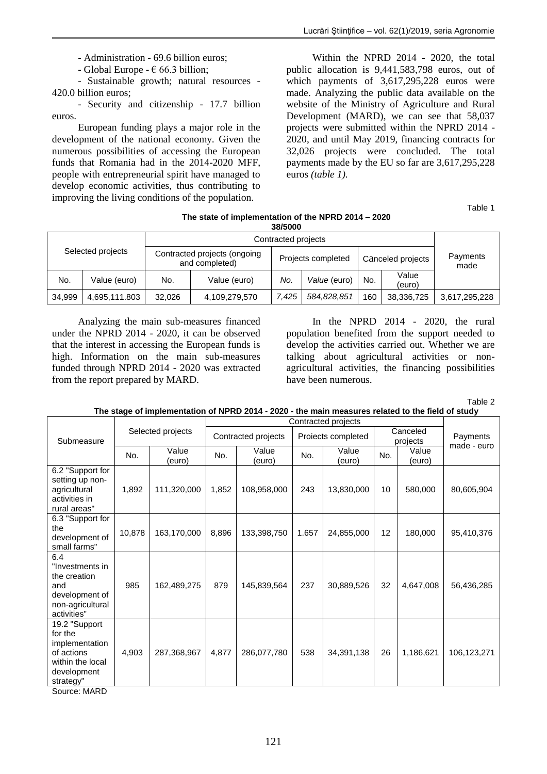- Administration - 69.6 billion euros;

- Global Europe -  $\epsilon$  66.3 billion;

- Sustainable growth; natural resources - 420.0 billion euros;

- Security and citizenship - 17.7 billion euros.

European funding plays a major role in the development of the national economy. Given the numerous possibilities of accessing the European funds that Romania had in the 2014-2020 MFF, people with entrepreneurial spirit have managed to develop economic activities, thus contributing to improving the living conditions of the population.

Within the NPRD 2014 - 2020, the total public allocation is 9,441,583,798 euros, out of which payments of 3,617,295,228 euros were made. Analyzing the public data available on the website of the Ministry of Agriculture and Rural Development (MARD), we can see that 58,037 projects were submitted within the NPRD 2014 - 2020, and until May 2019, financing contracts for 32,026 projects were concluded. The total payments made by the EU so far are 3,617,295,228 euros *(table 1).*

Table 1

| 38/5000           |               |        |                                                |       |                    |     |                   |                  |  |  |
|-------------------|---------------|--------|------------------------------------------------|-------|--------------------|-----|-------------------|------------------|--|--|
| Selected projects |               |        |                                                |       |                    |     |                   |                  |  |  |
|                   |               |        | Contracted projects (ongoing<br>and completed) |       | Projects completed |     | Canceled projects | Payments<br>made |  |  |
| No.               | Value (euro)  | No.    | Value (euro)                                   | No.   | Value (euro)       | No. | Value<br>(euro)   |                  |  |  |
| 34.999            | 4,695,111.803 | 32.026 | 4,109,279,570                                  | 7.425 | 584,828,851        | 160 | 38,336,725        | 3,617,295,228    |  |  |

**The state of implementation of the NPRD 2014 – 2020**

Analyzing the main sub-measures financed under the NPRD 2014 - 2020, it can be observed that the interest in accessing the European funds is high. Information on the main sub-measures funded through NPRD 2014 - 2020 was extracted from the report prepared by MARD.

In the NPRD 2014 - 2020, the rural population benefited from the support needed to develop the activities carried out. Whether we are talking about agricultural activities or nonagricultural activities, the financing possibilities have been numerous.

Table 2

| The stage of implementation of NPRD 2014 - 2020 - the main measures related to the field of study |
|---------------------------------------------------------------------------------------------------|
|---------------------------------------------------------------------------------------------------|

|                                                                                                          | Selected projects |                 | Contracted projects |                 |                    |                 |                      |                 |                         |
|----------------------------------------------------------------------------------------------------------|-------------------|-----------------|---------------------|-----------------|--------------------|-----------------|----------------------|-----------------|-------------------------|
| Submeasure                                                                                               |                   |                 | Contracted projects |                 | Proiects completed |                 | Canceled<br>projects |                 | Payments<br>made - euro |
|                                                                                                          | No.               | Value<br>(euro) |                     | Value<br>(euro) | No.                | Value<br>(euro) | No.                  | Value<br>(euro) |                         |
| 6.2 "Support for<br>setting up non-<br>agricultural<br>activities in<br>rural areas"                     | 1,892             | 111,320,000     | 1,852               | 108,958,000     | 243                | 13,830,000      | 10                   | 580,000         | 80,605,904              |
| 6.3 "Support for<br>the<br>development of<br>small farms"                                                | 10,878            | 163,170,000     | 8,896               | 133,398,750     | 1.657              | 24,855,000      | 12                   | 180,000         | 95,410,376              |
| 6.4<br>"Investments in<br>the creation<br>and<br>development of<br>non-agricultural<br>activities"       | 985               | 162,489,275     | 879                 | 145,839,564     | 237                | 30,889,526      | 32                   | 4,647,008       | 56,436,285              |
| 19.2 "Support<br>for the<br>implementation<br>of actions<br>within the local<br>development<br>strategy" | 4,903             | 287,368,967     | 4,877               | 286,077,780     | 538                | 34,391,138      | 26                   | 1,186,621       | 106,123,271             |

Source: MARD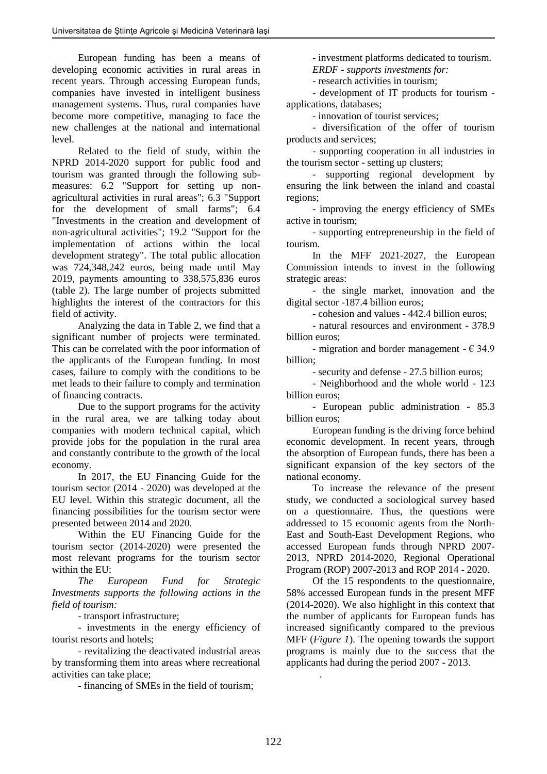European funding has been a means of developing economic activities in rural areas in recent years. Through accessing European funds, companies have invested in intelligent business management systems. Thus, rural companies have become more competitive, managing to face the new challenges at the national and international level.

Related to the field of study, within the NPRD 2014-2020 support for public food and tourism was granted through the following submeasures: 6.2 "Support for setting up nonagricultural activities in rural areas"; 6.3 "Support for the development of small farms"; 6.4 "Investments in the creation and development of non-agricultural activities"; 19.2 "Support for the implementation of actions within the local development strategy". The total public allocation was 724,348,242 euros, being made until May 2019, payments amounting to 338,575,836 euros (table 2). The large number of projects submitted highlights the interest of the contractors for this field of activity.

Analyzing the data in Table 2, we find that a significant number of projects were terminated. This can be correlated with the poor information of the applicants of the European funding. In most cases, failure to comply with the conditions to be met leads to their failure to comply and termination of financing contracts.

Due to the support programs for the activity in the rural area, we are talking today about companies with modern technical capital, which provide jobs for the population in the rural area and constantly contribute to the growth of the local economy.

In 2017, the EU Financing Guide for the tourism sector (2014 - 2020) was developed at the EU level. Within this strategic document, all the financing possibilities for the tourism sector were presented between 2014 and 2020.

Within the EU Financing Guide for the tourism sector (2014-2020) were presented the most relevant programs for the tourism sector within the EU:

*The European Fund for Strategic Investments supports the following actions in the field of tourism:*

- transport infrastructure;

- investments in the energy efficiency of tourist resorts and hotels;

- revitalizing the deactivated industrial areas by transforming them into areas where recreational activities can take place;

- financing of SMEs in the field of tourism;

- investment platforms dedicated to tourism. *ERDF - supports investments for:*

- research activities in tourism;

- development of IT products for tourism applications, databases;

- innovation of tourist services;

- diversification of the offer of tourism products and services;

- supporting cooperation in all industries in the tourism sector - setting up clusters;

- supporting regional development by ensuring the link between the inland and coastal regions;

- improving the energy efficiency of SMEs active in tourism;

- supporting entrepreneurship in the field of tourism.

In the MFF 2021-2027, the European Commission intends to invest in the following strategic areas:

- the single market, innovation and the digital sector -187.4 billion euros;

- cohesion and values - 442.4 billion euros;

- natural resources and environment - 378.9 billion euros;

- migration and border management -  $\epsilon$  34.9 billion;

- security and defense - 27.5 billion euros;

- Neighborhood and the whole world - 123 billion euros;

- European public administration - 85.3 billion euros;

European funding is the driving force behind economic development. In recent years, through the absorption of European funds, there has been a significant expansion of the key sectors of the national economy.

To increase the relevance of the present study, we conducted a sociological survey based on a questionnaire. Thus, the questions were addressed to 15 economic agents from the North-East and South-East Development Regions, who accessed European funds through NPRD 2007- 2013, NPRD 2014-2020, Regional Operational Program (ROP) 2007-2013 and ROP 2014 - 2020.

Of the 15 respondents to the questionnaire, 58% accessed European funds in the present MFF (2014-2020). We also highlight in this context that the number of applicants for European funds has increased significantly compared to the previous MFF (*Figure 1*). The opening towards the support programs is mainly due to the success that the applicants had during the period 2007 - 2013.

.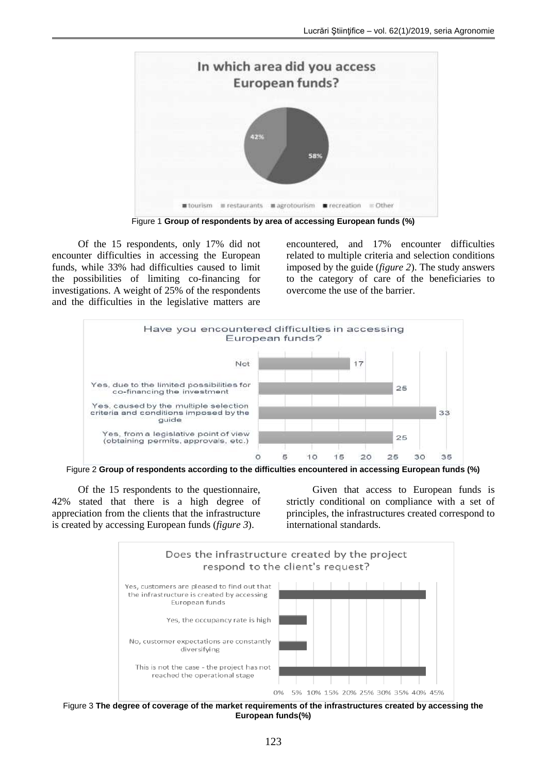

Figure 1 **Group of respondents by area of accessing European funds (%)**

Of the 15 respondents, only 17% did not encounter difficulties in accessing the European funds, while 33% had difficulties caused to limit the possibilities of limiting co-financing for investigations. A weight of 25% of the respondents and the difficulties in the legislative matters are encountered, and 17% encounter difficulties related to multiple criteria and selection conditions imposed by the guide (*figure 2*). The study answers to the category of care of the beneficiaries to overcome the use of the barrier.



Figure 2 **Group of respondents according to the difficulties encountered in accessing European funds (%)**

Of the 15 respondents to the questionnaire, 42% stated that there is a high degree of appreciation from the clients that the infrastructure is created by accessing European funds (*figure 3*).

Given that access to European funds is strictly conditional on compliance with a set of principles, the infrastructures created correspond to international standards.



Figure 3 **The degree of coverage of the market requirements of the infrastructures created by accessing the European funds(%)**